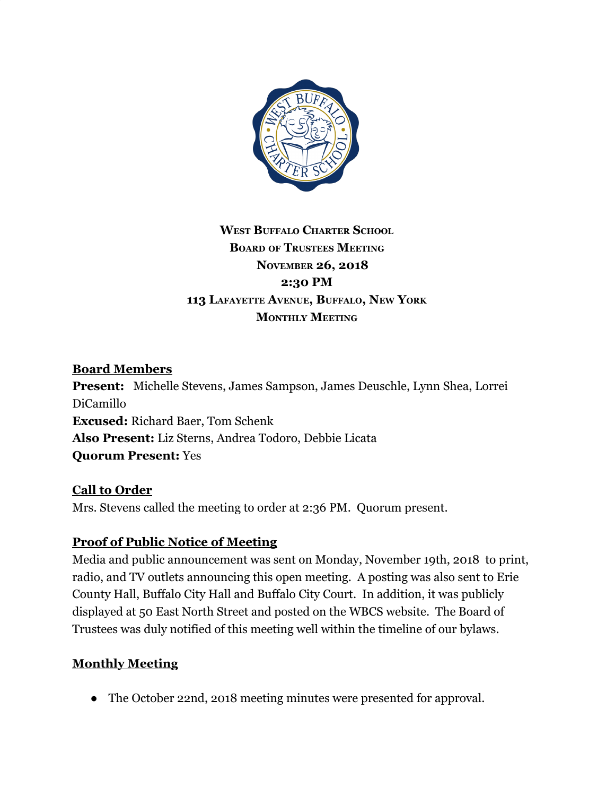

# **WEST BUFFALO CHARTER SCHOOL BOARD OF TRUSTEES MEETING NOVEMBER 26, 2018 2:30 PM 113 LAFAYETTE AVENUE, BUFFALO, NEW YORK MONTHLY MEETING**

# **Board Members**

**Present:** Michelle Stevens, James Sampson, James Deuschle, Lynn Shea, Lorrei DiCamillo **Excused:** Richard Baer, Tom Schenk **Also Present:** Liz Sterns, Andrea Todoro, Debbie Licata **Quorum Present:** Yes

#### **Call to Order**

Mrs. Stevens called the meeting to order at 2:36 PM. Quorum present.

# **Proof of Public Notice of Meeting**

Media and public announcement was sent on Monday, November 19th, 2018 to print, radio, and TV outlets announcing this open meeting. A posting was also sent to Erie County Hall, Buffalo City Hall and Buffalo City Court. In addition, it was publicly displayed at 50 East North Street and posted on the WBCS website. The Board of Trustees was duly notified of this meeting well within the timeline of our bylaws.

#### **Monthly Meeting**

● The October 22nd, 2018 meeting minutes were presented for approval.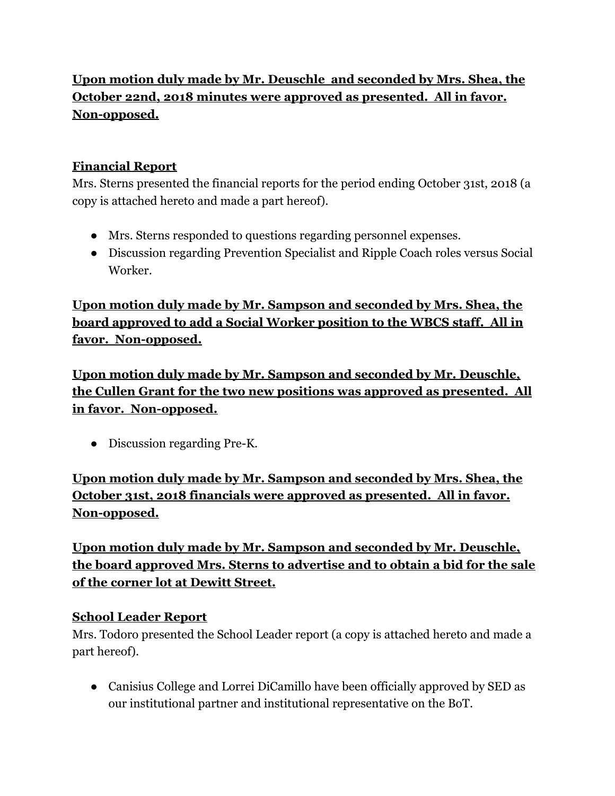# **Upon motion duly made by Mr. Deuschle and seconded by Mrs. Shea, the October 22nd, 2018 minutes were approved as presented. All in favor. Non-opposed.**

# **Financial Report**

Mrs. Sterns presented the financial reports for the period ending October 31st, 2018 (a copy is attached hereto and made a part hereof).

- Mrs. Sterns responded to questions regarding personnel expenses.
- Discussion regarding Prevention Specialist and Ripple Coach roles versus Social Worker.

**Upon motion duly made by Mr. Sampson and seconded by Mrs. Shea, the board approved to add a Social Worker position to the WBCS staff. All in favor. Non-opposed.**

**Upon motion duly made by Mr. Sampson and seconded by Mr. Deuschle, the Cullen Grant for the two new positions was approved as presented. All in favor. Non-opposed.**

● Discussion regarding Pre-K.

**Upon motion duly made by Mr. Sampson and seconded by Mrs. Shea, the October 31st, 2018 financials were approved as presented. All in favor. Non-opposed.**

**Upon motion duly made by Mr. Sampson and seconded by Mr. Deuschle, the board approved Mrs. Sterns to advertise and to obtain a bid for the sale of the corner lot at Dewitt Street.**

# **School Leader Report**

Mrs. Todoro presented the School Leader report (a copy is attached hereto and made a part hereof).

● Canisius College and Lorrei DiCamillo have been officially approved by SED as our institutional partner and institutional representative on the BoT.